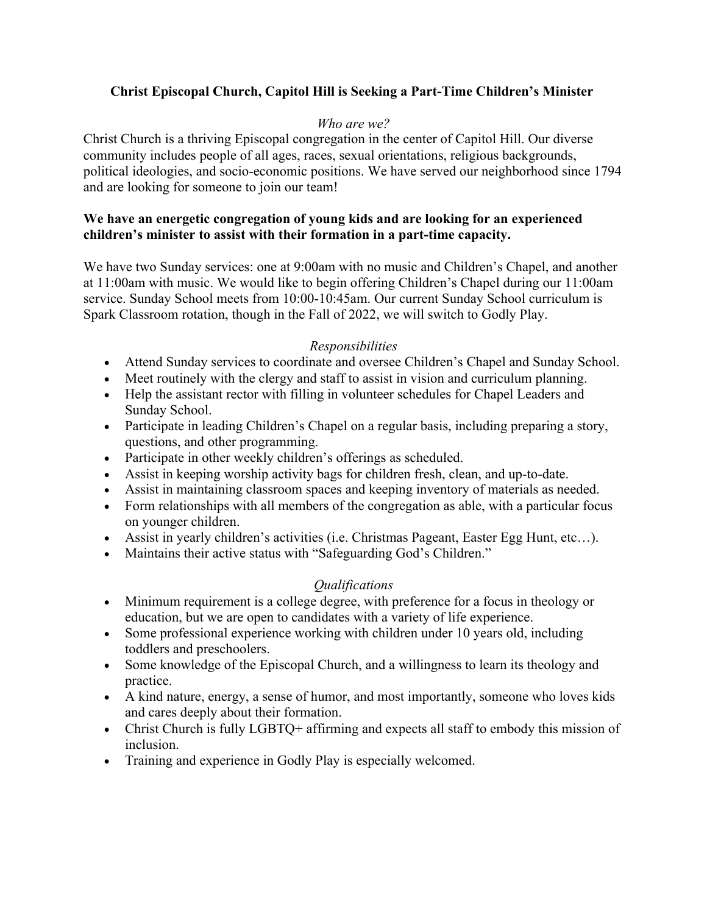## **Christ Episcopal Church, Capitol Hill is Seeking a Part-Time Children's Minister**

### *Who are we?*

Christ Church is a thriving Episcopal congregation in the center of Capitol Hill. Our diverse community includes people of all ages, races, sexual orientations, religious backgrounds, political ideologies, and socio-economic positions. We have served our neighborhood since 1794 and are looking for someone to join our team!

### **We have an energetic congregation of young kids and are looking for an experienced children's minister to assist with their formation in a part-time capacity.**

We have two Sunday services: one at 9:00am with no music and Children's Chapel, and another at 11:00am with music. We would like to begin offering Children's Chapel during our 11:00am service. Sunday School meets from 10:00-10:45am. Our current Sunday School curriculum is Spark Classroom rotation, though in the Fall of 2022, we will switch to Godly Play.

### *Responsibilities*

- Attend Sunday services to coordinate and oversee Children's Chapel and Sunday School.
- Meet routinely with the clergy and staff to assist in vision and curriculum planning.
- Help the assistant rector with filling in volunteer schedules for Chapel Leaders and Sunday School.
- Participate in leading Children's Chapel on a regular basis, including preparing a story, questions, and other programming.
- Participate in other weekly children's offerings as scheduled.
- Assist in keeping worship activity bags for children fresh, clean, and up-to-date.
- Assist in maintaining classroom spaces and keeping inventory of materials as needed.
- Form relationships with all members of the congregation as able, with a particular focus on younger children.
- Assist in yearly children's activities (i.e. Christmas Pageant, Easter Egg Hunt, etc…).
- Maintains their active status with "Safeguarding God's Children."

# *Qualifications*

- Minimum requirement is a college degree, with preference for a focus in theology or education, but we are open to candidates with a variety of life experience.
- Some professional experience working with children under 10 years old, including toddlers and preschoolers.
- Some knowledge of the Episcopal Church, and a willingness to learn its theology and practice.
- A kind nature, energy, a sense of humor, and most importantly, someone who loves kids and cares deeply about their formation.
- Christ Church is fully LGBTQ+ affirming and expects all staff to embody this mission of inclusion.
- Training and experience in Godly Play is especially welcomed.